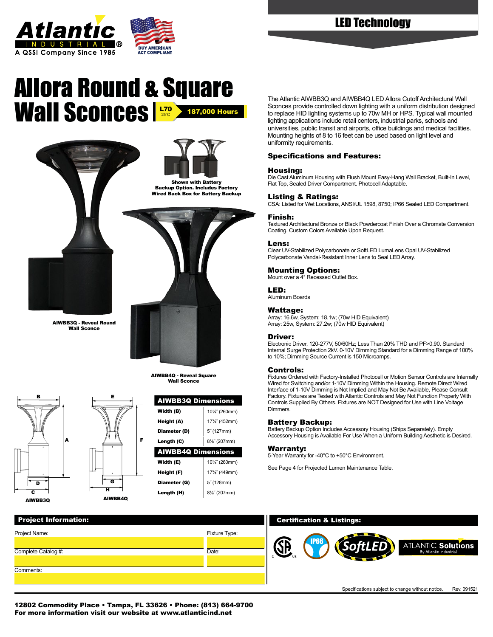

# **BUY AMERICAN**

## Allora Round & Square Wall Sconces **Right 200 Hours**





Backup Option. Includes Factory Wired Back Box for Battery Backup





AIWBB4Q - Reveal Square Wall Sconce





H



| Project Name:       | Fixture Type: |   |
|---------------------|---------------|---|
|                     |               |   |
| Complete Catalog #: | Date:         |   |
|                     |               | с |
| Comments:           |               |   |
|                     |               |   |

The Atlantic AIWBB3Q and AIWBB4Q LED Allora Cutoff Architectural Wall Sconces provide controlled down lighting with a uniform distribution designed to replace HID lighting systems up to 70w MH or HPS. Typical wall mounted lighting applications include retail centers, industrial parks, schools and universities, public transit and airports, office buildings and medical facilities. Mounting heights of 8 to 16 feet can be used based on light level and uniformity requirements.

#### Specifications and Features:

#### Housing:

Die Cast Aluminum Housing with Flush Mount Easy-Hang Wall Bracket, Built-In Level, Flat Top, Sealed Driver Compartment. Photocell Adaptable.

#### Listing & Ratings:

CSA: Listed for Wet Locations, ANSI/UL 1598, 8750; IP66 Sealed LED Compartment.

#### Finish:

Textured Architectural Bronze or Black Powdercoat Finish Over a Chromate Conversion Coating. Custom Colors Available Upon Request.

#### Lens:

Clear UV-Stabilized Polycarbonate or SoftLED LumaLens Opal UV-Stabilized Polycarbonate Vandal-Resistant Inner Lens to Seal LED Array.

#### Mounting Options:

Mount over a 4″ Recessed Outlet Box.

#### LED:

Aluminum Boards

#### Wattage:

Array: 16.6w, System: 18.1w; (70w HID Equivalent) Array: 25w, System: 27.2w; (70w HID Equivalent)

#### Driver:

Electronic Driver, 120-277V, 50/60Hz; Less Than 20% THD and PF>0.90. Standard Internal Surge Protection 2kV. 0-10V Dimming Standard for a Dimming Range of 100% to 10%; Dimming Source Current is 150 Microamps.

#### Controls:

Fixtures Ordered with Factory-Installed Photocell or Motion Sensor Controls are Internally Wired for Switching and/or 1-10V Dimming Within the Housing. Remote Direct Wired Interface of 1-10V Dimming is Not Implied and May Not Be Available, Please Consult Factory. Fixtures are Tested with Atlantic Controls and May Not Function Properly With Controls Supplied By Others. Fixtures are NOT Designed for Use with Line Voltage **Dimmers** 

#### Battery Backup:

Battery Backup Option Includes Accessory Housing (Ships Separately). Empty Accessory Housing is Available For Use When a Uniform Building Aesthetic is Desired.

#### Warranty:

5-Year Warranty for -40°C to +50°C Environment.

See Page 4 for Projected Lumen Maintenance Table.

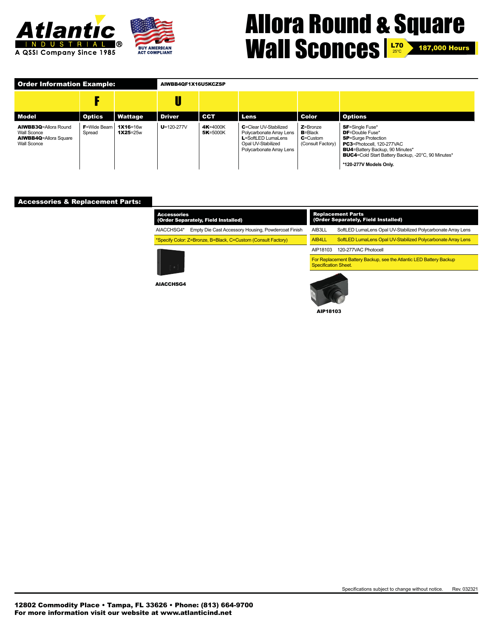

## Allora Round & Square Wall Sconces **1270 2** 187,000 Hours 25°C

| <b>Order Information Example:</b>                                                                |                               |                          | AIWBB4QF1X16U5KCZSP |                      |                                                                                                                           |                                                                  |                                                                                                                                                                                                                                                           |  |  |
|--------------------------------------------------------------------------------------------------|-------------------------------|--------------------------|---------------------|----------------------|---------------------------------------------------------------------------------------------------------------------------|------------------------------------------------------------------|-----------------------------------------------------------------------------------------------------------------------------------------------------------------------------------------------------------------------------------------------------------|--|--|
|                                                                                                  |                               |                          |                     |                      |                                                                                                                           |                                                                  |                                                                                                                                                                                                                                                           |  |  |
| <b>Model</b>                                                                                     | <b>Optics</b>                 | Wattage                  | <b>Driver</b>       | CCT                  | Lens                                                                                                                      | Color                                                            | <b>Options</b>                                                                                                                                                                                                                                            |  |  |
| <b>AIWBB3Q=Allora Round</b><br>Wall Sconce<br><b>AIWBB4Q=Allora Square</b><br><b>Wall Sconce</b> | <b>F</b> =Wide Beam<br>Spread | 1X16=16w<br>$1X25 = 25w$ | $U = 120 - 277V$    | 4K=4000K<br>5K=5000K | C=Clear UV-Stabilized<br>Polycarbonate Array Lens<br>L=SoftLED LumaLens<br>Opal UV-Stabilized<br>Polycarbonate Array Lens | $Z =$ Bronze<br>$B = Black$<br>$C =$ Custom<br>(Consult Factory) | <b>SF</b> =Single Fuse*<br><b>DF</b> =Double Fuse*<br><b>SP</b> =Surge Protection<br><b>PC3</b> =Photocell, 120-277VAC<br><b>BU4</b> =Battery Backup, 90 Minutes*<br><b>BUC4</b> =Cold Start Battery Backup, -20°C, 90 Minutes*<br>*120-277V Models Only. |  |  |

#### Accessories & Replacement Parts:

| <b>Accessories</b><br>(Order Separately, Field Installed) |                                                               |  |  |  |  |  |  |
|-----------------------------------------------------------|---------------------------------------------------------------|--|--|--|--|--|--|
| AIACCHSG4*                                                | Empty Die Cast Accessory Housing, Powdercoat Finish           |  |  |  |  |  |  |
|                                                           | *Specify Color: Z=Bronze, B=Black, C=Custom (Consult Factory) |  |  |  |  |  |  |
|                                                           |                                                               |  |  |  |  |  |  |



AIACCHSG4

#### Replacement Parts (Order Separately, Field Installed) AIB3LL SoftLED LumaLens Opal UV-Stabilized Polycarbonate Array Lens AIB4LL SoftLED LumaLens Opal UV-Stabilized Polycarbonate Array Lens AIP18103 120-277VAC Photocell For Replacement Battery Backup, see the Atlantic LED Battery Backup **Specification Sheet.**



AIP18103

Specifications subject to change without notice. Rev. 032321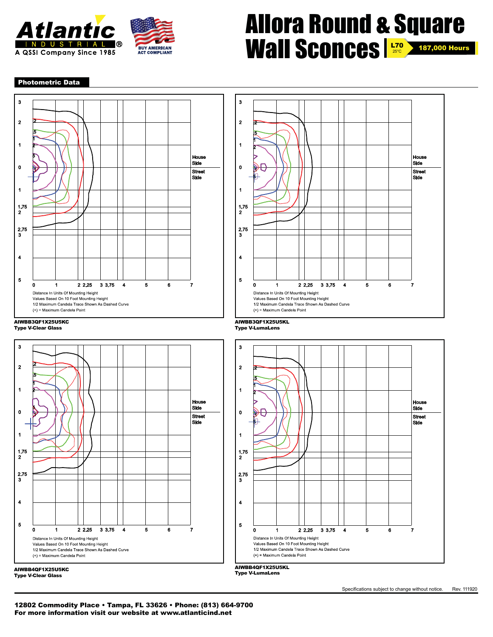

### Allora Round & Square Wall Sconces **1270 2** 187,000 Hours 25°C

#### Photometric Data





Type V-Clear Glass



AIWBB4QF1X25U5KC<br>Type V-Clear Glass Type V-Clear Glass



AIWBB3QF1X25U5KL Type V-LumaLens





AIWBB4QF1X25U5KL